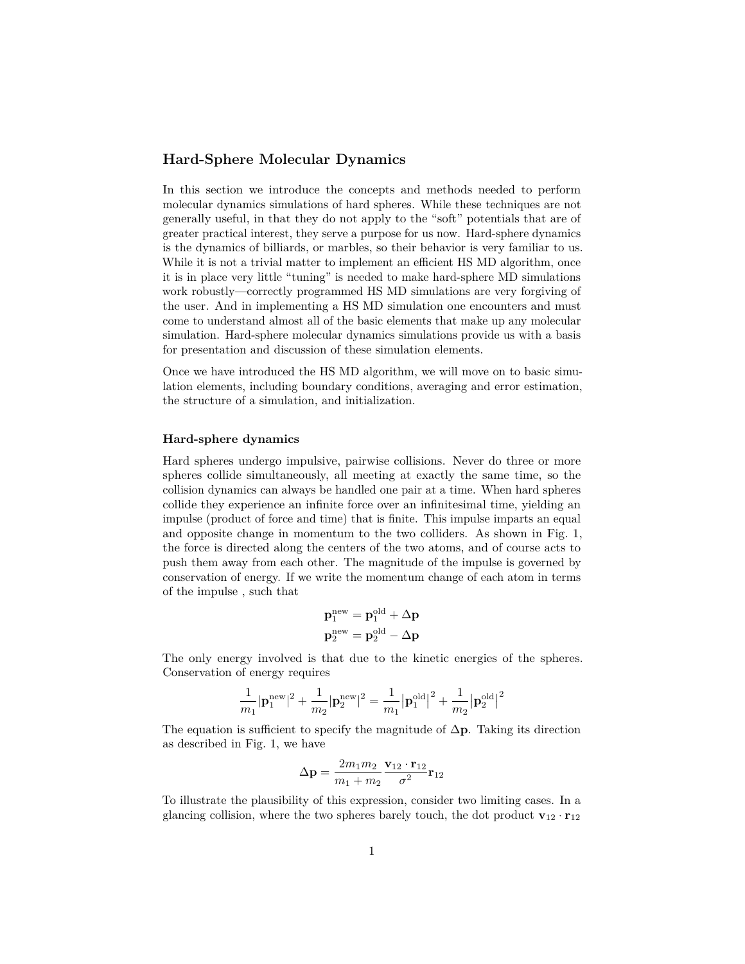## **Hard-Sphere Molecular Dynamics**

In this section we introduce the concepts and methods needed to perform molecular dynamics simulations of hard spheres. While these techniques are not generally useful, in that they do not apply to the "soft" potentials that are of greater practical interest, they serve a purpose for us now. Hard-sphere dynamics is the dynamics of billiards, or marbles, so their behavior is very familiar to us. While it is not a trivial matter to implement an efficient HS MD algorithm, once it is in place very little "tuning" is needed to make hard-sphere MD simulations work robustly—correctly programmed HS MD simulations are very forgiving of the user. And in implementing a HS MD simulation one encounters and must come to understand almost all of the basic elements that make up any molecular simulation. Hard-sphere molecular dynamics simulations provide us with a basis for presentation and discussion of these simulation elements.

Once we have introduced the HS MD algorithm, we will move on to basic simulation elements, including boundary conditions, averaging and error estimation, the structure of a simulation, and initialization.

## **Hard-sphere dynamics**

Hard spheres undergo impulsive, pairwise collisions. Never do three or more spheres collide simultaneously, all meeting at exactly the same time, so the collision dynamics can always be handled one pair at a time. When hard spheres collide they experience an infinite force over an infinitesimal time, yielding an impulse (product of force and time) that is finite. This impulse imparts an equal and opposite change in momentum to the two colliders. As shown in Fig. [1,](#page-1-0) the force is directed along the centers of the two atoms, and of course acts to push them away from each other. The magnitude of the impulse is governed by conservation of energy. If we write the momentum change of each atom in terms of the impulse , such that

$$
\begin{aligned} \mathbf{p}_1^\mathrm{new} &= \mathbf{p}_1^\mathrm{old} + \Delta \mathbf{p} \\ \mathbf{p}_2^\mathrm{new} &= \mathbf{p}_2^\mathrm{old} - \Delta \mathbf{p} \end{aligned}
$$

The only energy involved is that due to the kinetic energies of the spheres. Conservation of energy requires

$$
\frac{1}{m_1}|{\bf p}_1^{\rm new}|^2+\frac{1}{m_2}|{\bf p}_2^{\rm new}|^2=\frac{1}{m_1}\big|{\bf p}_1^{\rm old}\big|^2+\frac{1}{m_2}\big|{\bf p}_2^{\rm old}\big|^2
$$

The equation is sufficient to specify the magnitude of ∆**p**. Taking its direction as described in Fig. [1,](#page-1-0) we have

$$
\Delta \mathbf{p} = \frac{2m_1m_2}{m_1+m_2} \frac{\mathbf{v}_{12} \cdot \mathbf{r}_{12}}{\sigma^2} \mathbf{r}_{12}
$$

To illustrate the plausibility of this expression, consider two limiting cases. In a glancing collision, where the two spheres barely touch, the dot product  $\mathbf{v}_{12} \cdot \mathbf{r}_{12}$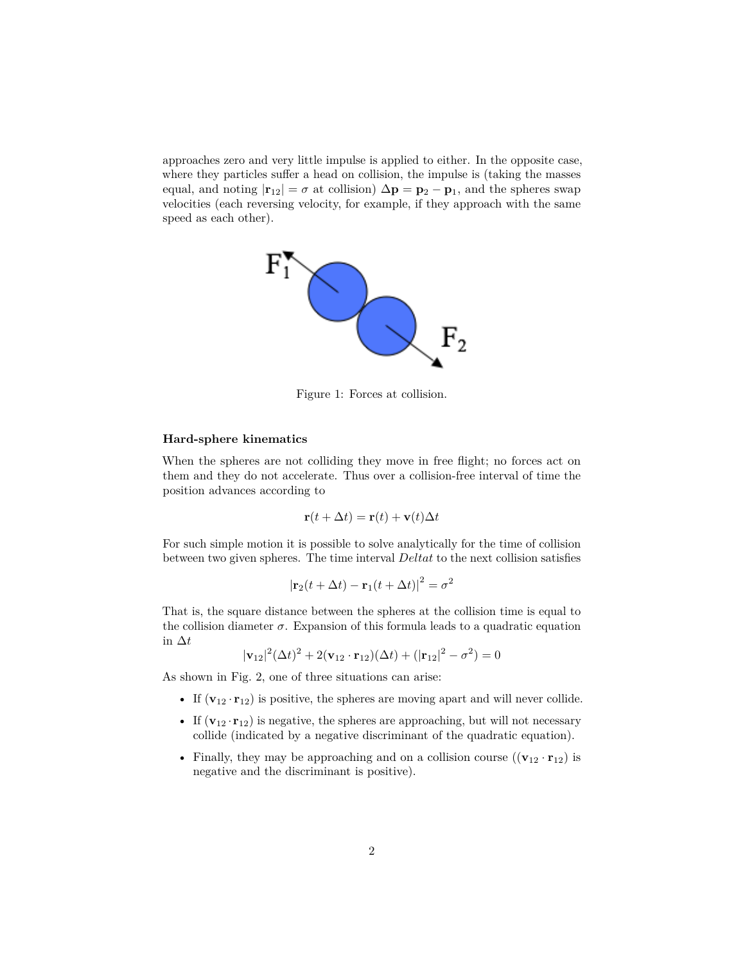approaches zero and very little impulse is applied to either. In the opposite case, where they particles suffer a head on collision, the impulse is (taking the masses equal, and noting  $|\mathbf{r}_{12}| = \sigma$  at collision)  $\Delta \mathbf{p} = \mathbf{p}_2 - \mathbf{p}_1$ , and the spheres swap velocities (each reversing velocity, for example, if they approach with the same speed as each other).



<span id="page-1-0"></span>Figure 1: Forces at collision.

## **Hard-sphere kinematics**

When the spheres are not colliding they move in free flight; no forces act on them and they do not accelerate. Thus over a collision-free interval of time the position advances according to

$$
\mathbf{r}(t + \Delta t) = \mathbf{r}(t) + \mathbf{v}(t)\Delta t
$$

For such simple motion it is possible to solve analytically for the time of collision between two given spheres. The time interval *Deltat* to the next collision satisfies

$$
|\mathbf{r}_2(t + \Delta t) - \mathbf{r}_1(t + \Delta t)|^2 = \sigma^2
$$

That is, the square distance between the spheres at the collision time is equal to the collision diameter  $\sigma$ . Expansion of this formula leads to a quadratic equation in ∆*t*

 $|\mathbf{v}_{12}|^2 (\Delta t)^2 + 2(\mathbf{v}_{12} \cdot \mathbf{r}_{12})(\Delta t) + (|\mathbf{r}_{12}|^2 - \sigma^2) = 0$ 

As shown in Fig. [2,](#page-2-0) one of three situations can arise:

- If  $(\mathbf{v}_{12} \cdot \mathbf{r}_{12})$  is positive, the spheres are moving apart and will never collide.
- If  $(\mathbf{v}_{12} \cdot \mathbf{r}_{12})$  is negative, the spheres are approaching, but will not necessary collide (indicated by a negative discriminant of the quadratic equation).
- Finally, they may be approaching and on a collision course  $((\mathbf{v}_{12} \cdot \mathbf{r}_{12})$  is negative and the discriminant is positive).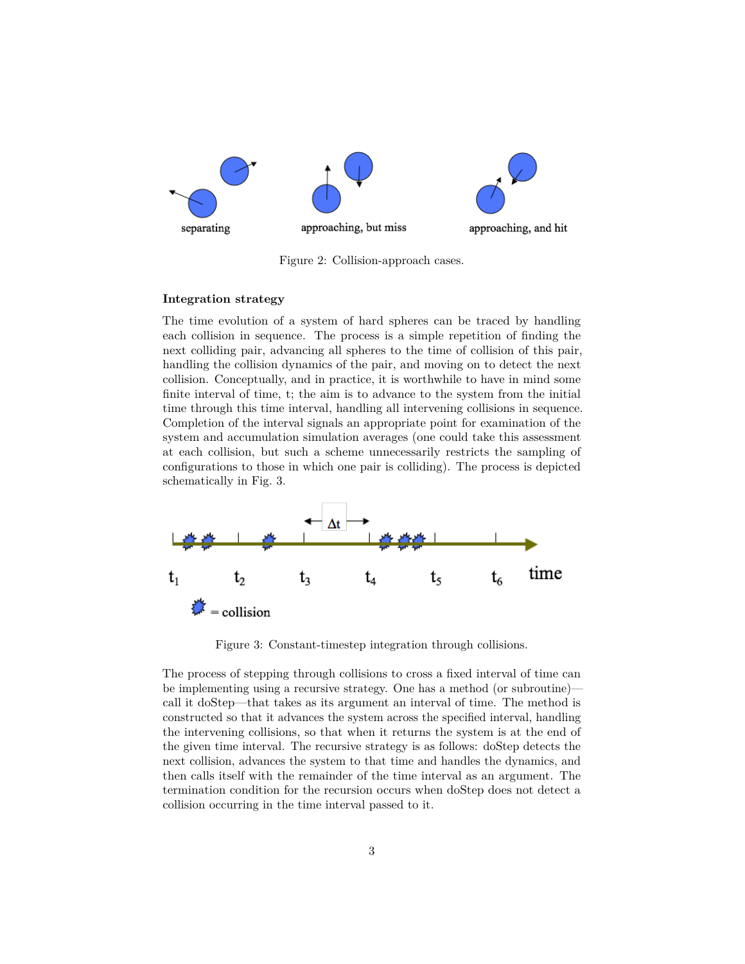

<span id="page-2-0"></span>Figure 2: Collision-approach cases.

## **Integration strategy**

The time evolution of a system of hard spheres can be traced by handling each collision in sequence. The process is a simple repetition of finding the next colliding pair, advancing all spheres to the time of collision of this pair, handling the collision dynamics of the pair, and moving on to detect the next collision. Conceptually, and in practice, it is worthwhile to have in mind some finite interval of time, t; the aim is to advance to the system from the initial time through this time interval, handling all intervening collisions in sequence. Completion of the interval signals an appropriate point for examination of the system and accumulation simulation averages (one could take this assessment at each collision, but such a scheme unnecessarily restricts the sampling of configurations to those in which one pair is colliding). The process is depicted schematically in Fig. [3.](#page-2-1)



<span id="page-2-1"></span>Figure 3: Constant-timestep integration through collisions.

The process of stepping through collisions to cross a fixed interval of time can be implementing using a recursive strategy. One has a method (or subroutine) call it doStep—that takes as its argument an interval of time. The method is constructed so that it advances the system across the specified interval, handling the intervening collisions, so that when it returns the system is at the end of the given time interval. The recursive strategy is as follows: doStep detects the next collision, advances the system to that time and handles the dynamics, and then calls itself with the remainder of the time interval as an argument. The termination condition for the recursion occurs when doStep does not detect a collision occurring in the time interval passed to it.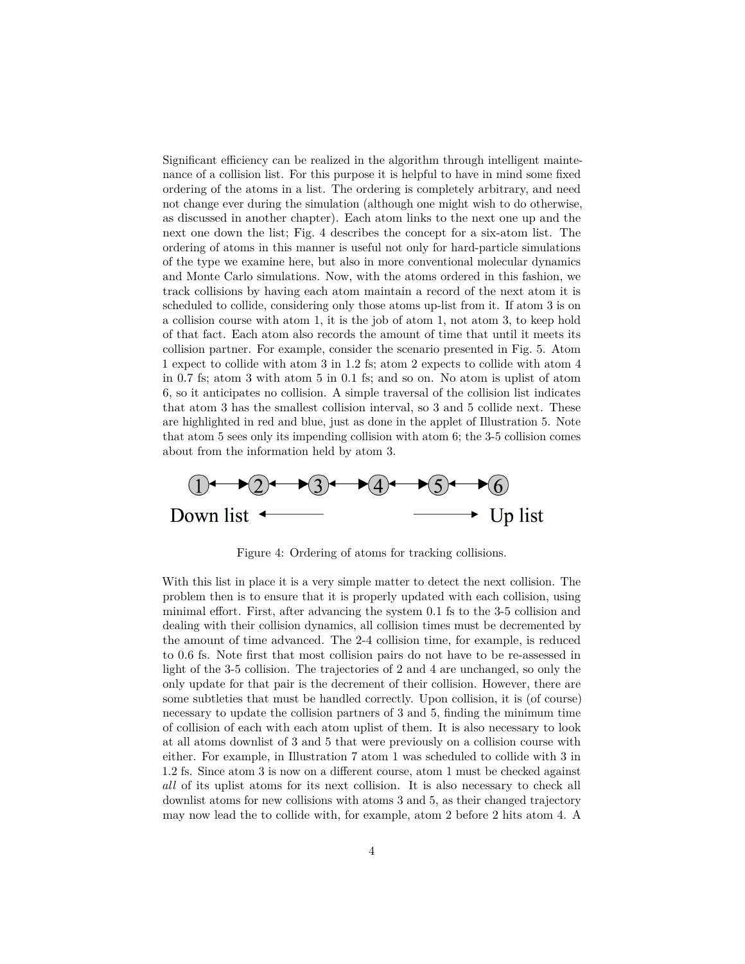Significant efficiency can be realized in the algorithm through intelligent maintenance of a collision list. For this purpose it is helpful to have in mind some fixed ordering of the atoms in a list. The ordering is completely arbitrary, and need not change ever during the simulation (although one might wish to do otherwise, as discussed in another chapter). Each atom links to the next one up and the next one down the list; Fig. [4](#page-3-0) describes the concept for a six-atom list. The ordering of atoms in this manner is useful not only for hard-particle simulations of the type we examine here, but also in more conventional molecular dynamics and Monte Carlo simulations. Now, with the atoms ordered in this fashion, we track collisions by having each atom maintain a record of the next atom it is scheduled to collide, considering only those atoms up-list from it. If atom 3 is on a collision course with atom 1, it is the job of atom 1, not atom 3, to keep hold of that fact. Each atom also records the amount of time that until it meets its collision partner. For example, consider the scenario presented in Fig. [5.](#page-4-0) Atom 1 expect to collide with atom 3 in 1.2 fs; atom 2 expects to collide with atom 4 in 0.7 fs; atom 3 with atom 5 in 0.1 fs; and so on. No atom is uplist of atom 6, so it anticipates no collision. A simple traversal of the collision list indicates that atom 3 has the smallest collision interval, so 3 and 5 collide next. These are highlighted in red and blue, just as done in the applet of Illustration 5. Note that atom 5 sees only its impending collision with atom 6; the 3-5 collision comes about from the information held by atom 3.



<span id="page-3-0"></span>Figure 4: Ordering of atoms for tracking collisions.

With this list in place it is a very simple matter to detect the next collision. The problem then is to ensure that it is properly updated with each collision, using minimal effort. First, after advancing the system 0.1 fs to the 3-5 collision and dealing with their collision dynamics, all collision times must be decremented by the amount of time advanced. The 2-4 collision time, for example, is reduced to 0.6 fs. Note first that most collision pairs do not have to be re-assessed in light of the 3-5 collision. The trajectories of 2 and 4 are unchanged, so only the only update for that pair is the decrement of their collision. However, there are some subtleties that must be handled correctly. Upon collision, it is (of course) necessary to update the collision partners of 3 and 5, finding the minimum time of collision of each with each atom uplist of them. It is also necessary to look at all atoms downlist of 3 and 5 that were previously on a collision course with either. For example, in Illustration 7 atom 1 was scheduled to collide with 3 in 1.2 fs. Since atom 3 is now on a different course, atom 1 must be checked against *all* of its uplist atoms for its next collision. It is also necessary to check all downlist atoms for new collisions with atoms 3 and 5, as their changed trajectory may now lead the to collide with, for example, atom 2 before 2 hits atom 4. A